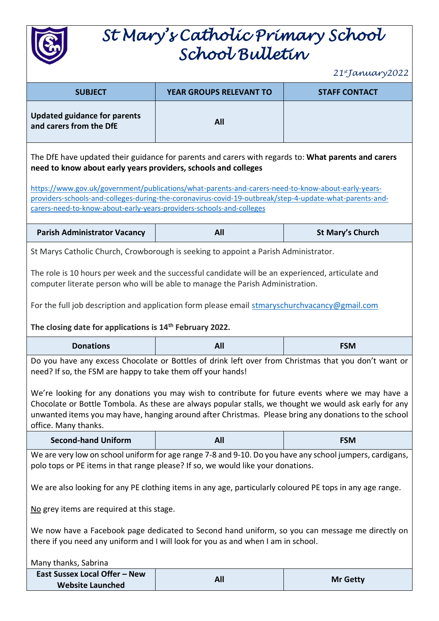

# *St Mary's Catholic Primary School School Bulletin*

*21 stJanuary2022*

| $21$ jurnwa y $2022$                                                                                                                                                                                                                                                                  |                                                                                                                                                                                                                                                                                                                     |                         |
|---------------------------------------------------------------------------------------------------------------------------------------------------------------------------------------------------------------------------------------------------------------------------------------|---------------------------------------------------------------------------------------------------------------------------------------------------------------------------------------------------------------------------------------------------------------------------------------------------------------------|-------------------------|
| <b>SUBJECT</b>                                                                                                                                                                                                                                                                        | <b>YEAR GROUPS RELEVANT TO</b>                                                                                                                                                                                                                                                                                      | <b>STAFF CONTACT</b>    |
| <b>Updated guidance for parents</b><br>and carers from the DfE                                                                                                                                                                                                                        | All                                                                                                                                                                                                                                                                                                                 |                         |
| The DfE have updated their guidance for parents and carers with regards to: What parents and carers<br>need to know about early years providers, schools and colleges                                                                                                                 |                                                                                                                                                                                                                                                                                                                     |                         |
| https://www.gov.uk/government/publications/what-parents-and-carers-need-to-know-about-early-years-<br>providers-schools-and-colleges-during-the-coronavirus-covid-19-outbreak/step-4-update-what-parents-and-<br>carers-need-to-know-about-early-years-providers-schools-and-colleges |                                                                                                                                                                                                                                                                                                                     |                         |
| <b>Parish Administrator Vacancy</b>                                                                                                                                                                                                                                                   | All                                                                                                                                                                                                                                                                                                                 | <b>St Mary's Church</b> |
| St Marys Catholic Church, Crowborough is seeking to appoint a Parish Administrator.                                                                                                                                                                                                   |                                                                                                                                                                                                                                                                                                                     |                         |
| The role is 10 hours per week and the successful candidate will be an experienced, articulate and<br>computer literate person who will be able to manage the Parish Administration.                                                                                                   |                                                                                                                                                                                                                                                                                                                     |                         |
| For the full job description and application form please email stmaryschurchvacancy@gmail.com                                                                                                                                                                                         |                                                                                                                                                                                                                                                                                                                     |                         |
| The closing date for applications is 14 <sup>th</sup> February 2022.                                                                                                                                                                                                                  |                                                                                                                                                                                                                                                                                                                     |                         |
|                                                                                                                                                                                                                                                                                       |                                                                                                                                                                                                                                                                                                                     |                         |
| <b>Donations</b>                                                                                                                                                                                                                                                                      | All                                                                                                                                                                                                                                                                                                                 | <b>FSM</b>              |
| need? If so, the FSM are happy to take them off your hands!                                                                                                                                                                                                                           | Do you have any excess Chocolate or Bottles of drink left over from Christmas that you don't want or                                                                                                                                                                                                                |                         |
| office. Many thanks.                                                                                                                                                                                                                                                                  | We're looking for any donations you may wish to contribute for future events where we may have a<br>Chocolate or Bottle Tombola. As these are always popular stalls, we thought we would ask early for any<br>unwanted items you may have, hanging around after Christmas. Please bring any donations to the school |                         |
| <b>Second-hand Uniform</b>                                                                                                                                                                                                                                                            | All                                                                                                                                                                                                                                                                                                                 | <b>FSM</b>              |
| No grey items are required at this stage.                                                                                                                                                                                                                                             | We are very low on school uniform for age range 7-8 and 9-10. Do you have any school jumpers, cardigans,<br>polo tops or PE items in that range please? If so, we would like your donations.<br>We are also looking for any PE clothing items in any age, particularly coloured PE tops in any age range.           |                         |
|                                                                                                                                                                                                                                                                                       | We now have a Facebook page dedicated to Second hand uniform, so you can message me directly on<br>there if you need any uniform and I will look for you as and when I am in school.                                                                                                                                |                         |
| Many thanks, Sabrina<br>East Sussex Local Offer - New                                                                                                                                                                                                                                 |                                                                                                                                                                                                                                                                                                                     |                         |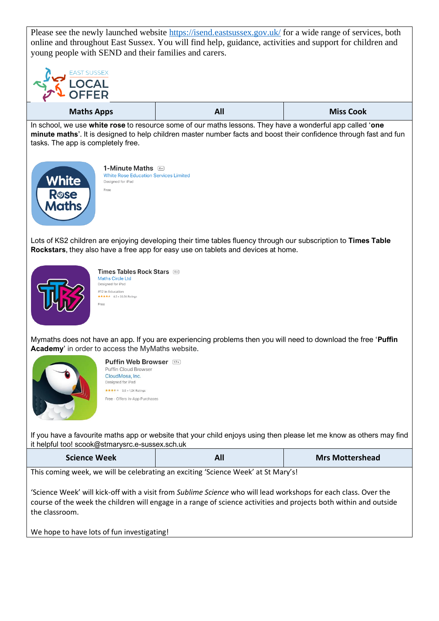Please see the newly launched website<https://isend.eastsussex.gov.uk/> for a wide range of services, both online and throughout East Sussex. You will find help, guidance, activities and support for children and young people with SEND and their families and carers.



In school, we use **white rose** to resource some of our maths lessons. They have a wonderful app called '**one minute maths**'. It is designed to help children master number facts and boost their confidence through fast and fun tasks. The app is completely free.



1-Minute Maths **White Rose Education Services Limited** Designed for iPad Eree

Lots of KS2 children are enjoying developing their time tables fluency through our subscription to **Times Table Rockstars**, they also have a free app for easy use on tablets and devices at home.



Times Tables Rock Stars Maths Circle Ltd Designed for iPad #12 in Education<br>★★★★★ 4.5 + 30.5K Ratings Free

Mymaths does not have an app. If you are experiencing problems then you will need to download the free '**Puffin Academy**' in order to access the MyMaths website.



Puffin Web Browser [17+] Puffin Cloud Browser CloudMosa, Inc. Designed for iPad  $\star\star\star\star\star$  3.6 + 1.2K Ratinos Free - Offers In-Ann Purchases

If you have a favourite maths app or website that your child enjoys using then please let me know as others may find it helpful too! scook@stmarysrc.e-sussex.sch.uk

This coming week, we will be celebrating an exciting 'Science Week' at St Mary's!

'Science Week' will kick-off with a visit from *Sublime Science* who will lead workshops for each class. Over the course of the week the children will engage in a range of science activities and projects both within and outside the classroom.

We hope to have lots of fun investigating!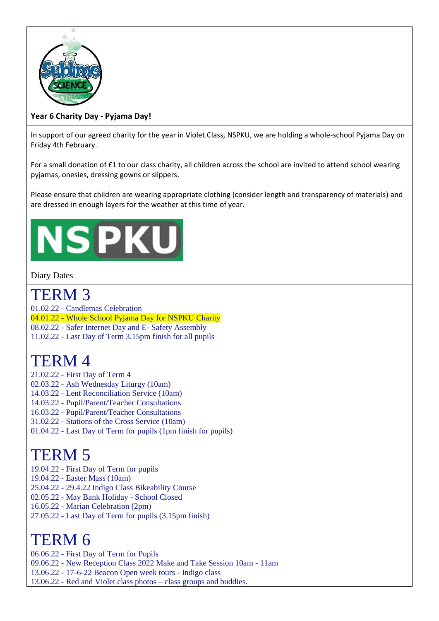

### **Year 6 Charity Day - Pyjama Day!**

In support of our agreed charity for the year in Violet Class, NSPKU, we are holding a whole-school Pyjama Day on Friday 4th February.

For a small donation of £1 to our class charity, all children across the school are invited to attend school wearing pyjamas, onesies, dressing gowns or slippers.

Please ensure that children are wearing appropriate clothing (consider length and transparency of materials) and are dressed in enough layers for the weather at this time of year.

# **NSPK**

#### Diary Dates

## TERM 3

01.02.22 - Candlemas Celebration 04.01.22 - Whole School Pyjama Day for NSPKU Charity 08.02.22 - Safer Internet Day and E- Safety Assembly

11.02.22 - Last Day of Term 3.15pm finish for all pupils

# TERM 4

- 21.02.22 First Day of Term 4
- 02.03.22 Ash Wednesday Liturgy (10am)
- 14.03.22 Lent Reconciliation Service (10am)
- 14.03.22 Pupil/Parent/Teacher Consultations
- 16.03.22 Pupil/Parent/Teacher Consultations
- 31.02.22 Stations of the Cross Service (10am)
- 01.04.22 Last Day of Term for pupils (1pm finish for pupils)

# TERM 5

- 19.04.22 First Day of Term for pupils
- 19.04.22 Easter Mass (10am)
- 25.04.22 29.4.22 Indigo Class Bikeability Course
- 02.05.22 May Bank Holiday School Closed
- 16.05.22 Marian Celebration (2pm)
- 27.05.22 Last Day of Term for pupils (3.15pm finish)

## TERM 6

06.06.22 - First Day of Term for Pupils

- 09.06.22 New Reception Class 2022 Make and Take Session 10am 11am
- 13.06.22 17-6-22 Beacon Open week tours Indigo class
- 13.06.22 Red and Violet class photos class groups and buddies.